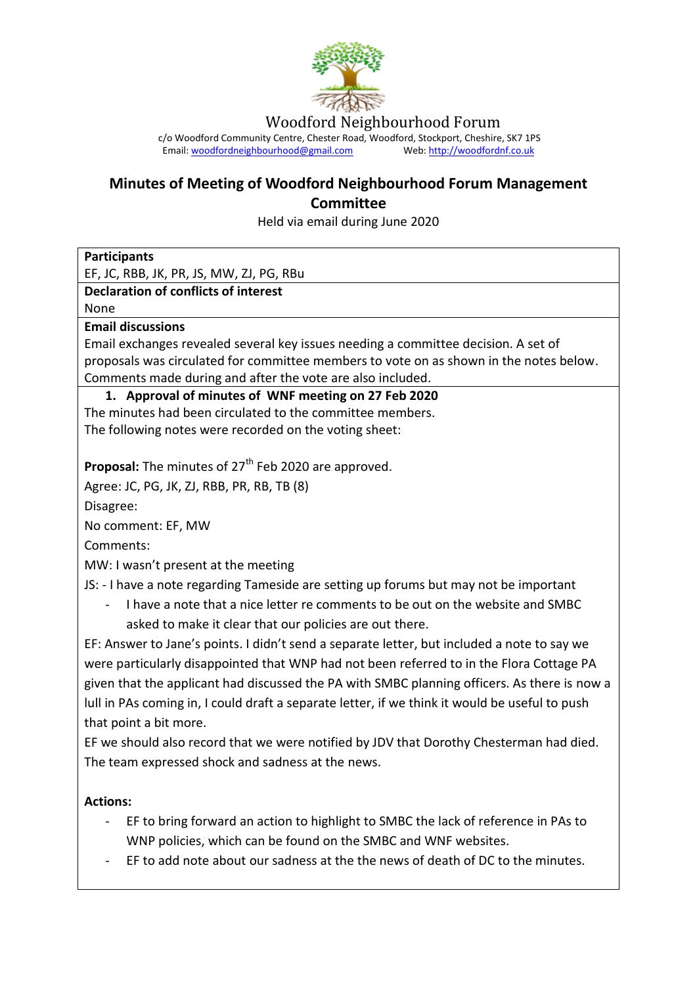

Woodford Neighbourhood Forum

c/o Woodford Community Centre, Chester Road, Woodford, Stockport, Cheshire, SK7 1PS Email[: woodfordneighbourhood@gmail.com](mailto:woodfordneighbourhood@gmail.com) Web[: http://woodfordnf.co.uk](http://woodfordnf.co.uk/)

# **Minutes of Meeting of Woodford Neighbourhood Forum Management Committee**

Held via email during June 2020

| <b>Participants</b>                                                                            |
|------------------------------------------------------------------------------------------------|
| EF, JC, RBB, JK, PR, JS, MW, ZJ, PG, RBu                                                       |
| <b>Declaration of conflicts of interest</b>                                                    |
| None                                                                                           |
| <b>Email discussions</b>                                                                       |
| Email exchanges revealed several key issues needing a committee decision. A set of             |
| proposals was circulated for committee members to vote on as shown in the notes below.         |
| Comments made during and after the vote are also included.                                     |
| 1. Approval of minutes of WNF meeting on 27 Feb 2020                                           |
| The minutes had been circulated to the committee members.                                      |
| The following notes were recorded on the voting sheet:                                         |
|                                                                                                |
| <b>Proposal:</b> The minutes of 27 <sup>th</sup> Feb 2020 are approved.                        |
| Agree: JC, PG, JK, ZJ, RBB, PR, RB, TB (8)                                                     |
| Disagree:                                                                                      |
| No comment: EF, MW                                                                             |
| Comments:                                                                                      |
| MW: I wasn't present at the meeting                                                            |
| JS: - I have a note regarding Tameside are setting up forums but may not be important          |
| I have a note that a nice letter re comments to be out on the website and SMBC                 |
| asked to make it clear that our policies are out there.                                        |
| EF: Answer to Jane's points. I didn't send a separate letter, but included a note to say we    |
|                                                                                                |
| were particularly disappointed that WNP had not been referred to in the Flora Cottage PA       |
| given that the applicant had discussed the PA with SMBC planning officers. As there is now a   |
| lull in PAs coming in, I could draft a separate letter, if we think it would be useful to push |
| that point a bit more.                                                                         |
| EF we should also record that we were notified by JDV that Dorothy Chesterman had died.        |
| The team expressed shock and sadness at the news.                                              |
| <b>Actions:</b>                                                                                |
| EF to bring forward an action to highlight to SMBC the lack of reference in PAs to             |
| WNP policies, which can be found on the SMBC and WNF websites.                                 |

- EF to add note about our sadness at the the news of death of DC to the minutes.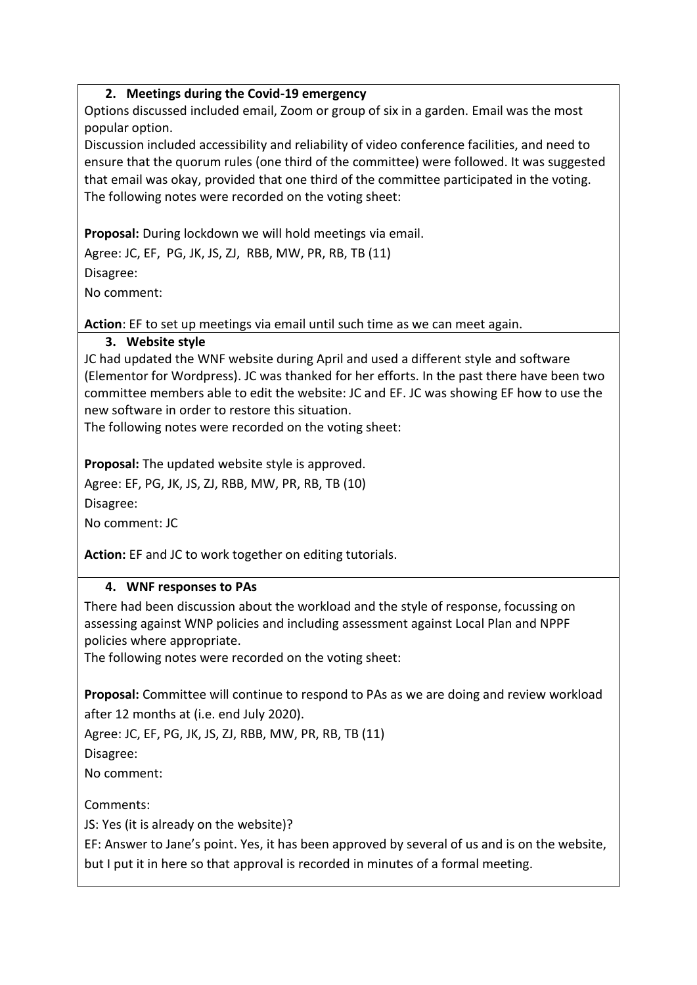### **2. Meetings during the Covid-19 emergency**

Options discussed included email, Zoom or group of six in a garden. Email was the most popular option.

Discussion included accessibility and reliability of video conference facilities, and need to ensure that the quorum rules (one third of the committee) were followed. It was suggested that email was okay, provided that one third of the committee participated in the voting. The following notes were recorded on the voting sheet:

**Proposal:** During lockdown we will hold meetings via email.

Agree: JC, EF, PG, JK, JS, ZJ, RBB, MW, PR, RB, TB (11) Disagree:

No comment:

**Action**: EF to set up meetings via email until such time as we can meet again.

### **3. Website style**

JC had updated the WNF website during April and used a different style and software (Elementor for Wordpress). JC was thanked for her efforts. In the past there have been two committee members able to edit the website: JC and EF. JC was showing EF how to use the new software in order to restore this situation.

The following notes were recorded on the voting sheet:

**Proposal:** The updated website style is approved.

Agree: EF, PG, JK, JS, ZJ, RBB, MW, PR, RB, TB (10)

Disagree:

No comment: JC

**Action:** EF and JC to work together on editing tutorials.

### **4. WNF responses to PAs**

There had been discussion about the workload and the style of response, focussing on assessing against WNP policies and including assessment against Local Plan and NPPF policies where appropriate.

The following notes were recorded on the voting sheet:

**Proposal:** Committee will continue to respond to PAs as we are doing and review workload after 12 months at (i.e. end July 2020).

Agree: JC, EF, PG, JK, JS, ZJ, RBB, MW, PR, RB, TB (11)

Disagree:

No comment:

Comments:

JS: Yes (it is already on the website)?

EF: Answer to Jane's point. Yes, it has been approved by several of us and is on the website, but I put it in here so that approval is recorded in minutes of a formal meeting.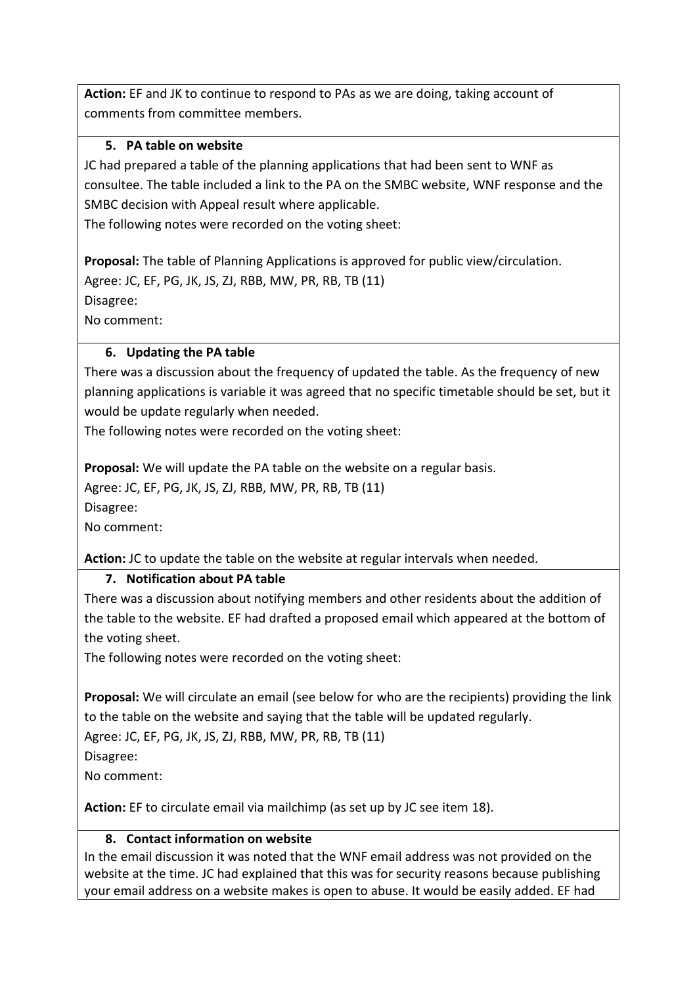**Action:** EF and JK to continue to respond to PAs as we are doing, taking account of comments from committee members.

## **5. PA table on website**

JC had prepared a table of the planning applications that had been sent to WNF as consultee. The table included a link to the PA on the SMBC website, WNF response and the SMBC decision with Appeal result where applicable.

The following notes were recorded on the voting sheet:

**Proposal:** The table of Planning Applications is approved for public view/circulation. Agree: JC, EF, PG, JK, JS, ZJ, RBB, MW, PR, RB, TB (11) Disagree:

No comment:

### **6. Updating the PA table**

There was a discussion about the frequency of updated the table. As the frequency of new planning applications is variable it was agreed that no specific timetable should be set, but it would be update regularly when needed.

The following notes were recorded on the voting sheet:

**Proposal:** We will update the PA table on the website on a regular basis.

Agree: JC, EF, PG, JK, JS, ZJ, RBB, MW, PR, RB, TB (11)

Disagree:

No comment:

**Action:** JC to update the table on the website at regular intervals when needed.

## **7. Notification about PA table**

There was a discussion about notifying members and other residents about the addition of the table to the website. EF had drafted a proposed email which appeared at the bottom of the voting sheet.

The following notes were recorded on the voting sheet:

**Proposal:** We will circulate an email (see below for who are the recipients) providing the link to the table on the website and saying that the table will be updated regularly.

Agree: JC, EF, PG, JK, JS, ZJ, RBB, MW, PR, RB, TB (11)

Disagree:

No comment:

**Action:** EF to circulate email via mailchimp (as set up by JC see item 18).

## **8. Contact information on website**

In the email discussion it was noted that the WNF email address was not provided on the website at the time. JC had explained that this was for security reasons because publishing your email address on a website makes is open to abuse. It would be easily added. EF had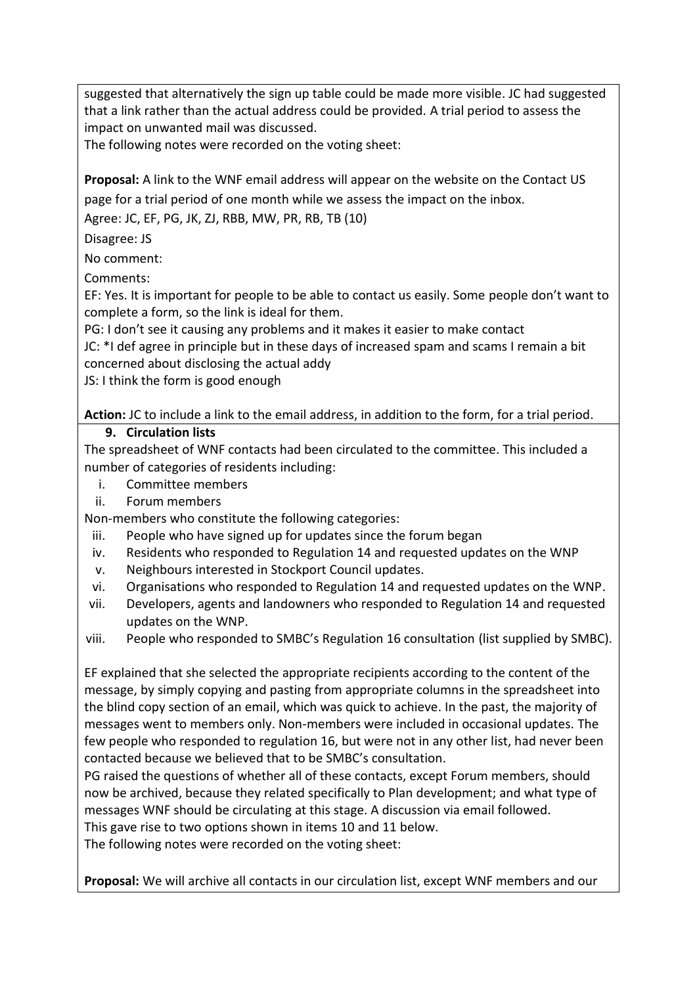suggested that alternatively the sign up table could be made more visible. JC had suggested that a link rather than the actual address could be provided. A trial period to assess the impact on unwanted mail was discussed.

The following notes were recorded on the voting sheet:

**Proposal:** A link to the WNF email address will appear on the website on the Contact US page for a trial period of one month while we assess the impact on the inbox.

Agree: JC, EF, PG, JK, ZJ, RBB, MW, PR, RB, TB (10)

Disagree: JS

No comment:

Comments:

EF: Yes. It is important for people to be able to contact us easily. Some people don't want to complete a form, so the link is ideal for them.

PG: I don't see it causing any problems and it makes it easier to make contact

JC: \*I def agree in principle but in these days of increased spam and scams I remain a bit concerned about disclosing the actual addy

JS: I think the form is good enough

**Action:** JC to include a link to the email address, in addition to the form, for a trial period.

### **9. Circulation lists**

The spreadsheet of WNF contacts had been circulated to the committee. This included a number of categories of residents including:

- i. Committee members
- ii. Forum members

Non-members who constitute the following categories:

- iii. People who have signed up for updates since the forum began
- iv. Residents who responded to Regulation 14 and requested updates on the WNP
- v. Neighbours interested in Stockport Council updates.
- vi. Organisations who responded to Regulation 14 and requested updates on the WNP.
- vii. Developers, agents and landowners who responded to Regulation 14 and requested updates on the WNP.
- viii. People who responded to SMBC's Regulation 16 consultation (list supplied by SMBC).

EF explained that she selected the appropriate recipients according to the content of the message, by simply copying and pasting from appropriate columns in the spreadsheet into the blind copy section of an email, which was quick to achieve. In the past, the majority of messages went to members only. Non-members were included in occasional updates. The few people who responded to regulation 16, but were not in any other list, had never been contacted because we believed that to be SMBC's consultation.

PG raised the questions of whether all of these contacts, except Forum members, should now be archived, because they related specifically to Plan development; and what type of messages WNF should be circulating at this stage. A discussion via email followed.

This gave rise to two options shown in items 10 and 11 below.

The following notes were recorded on the voting sheet:

**Proposal:** We will archive all contacts in our circulation list, except WNF members and our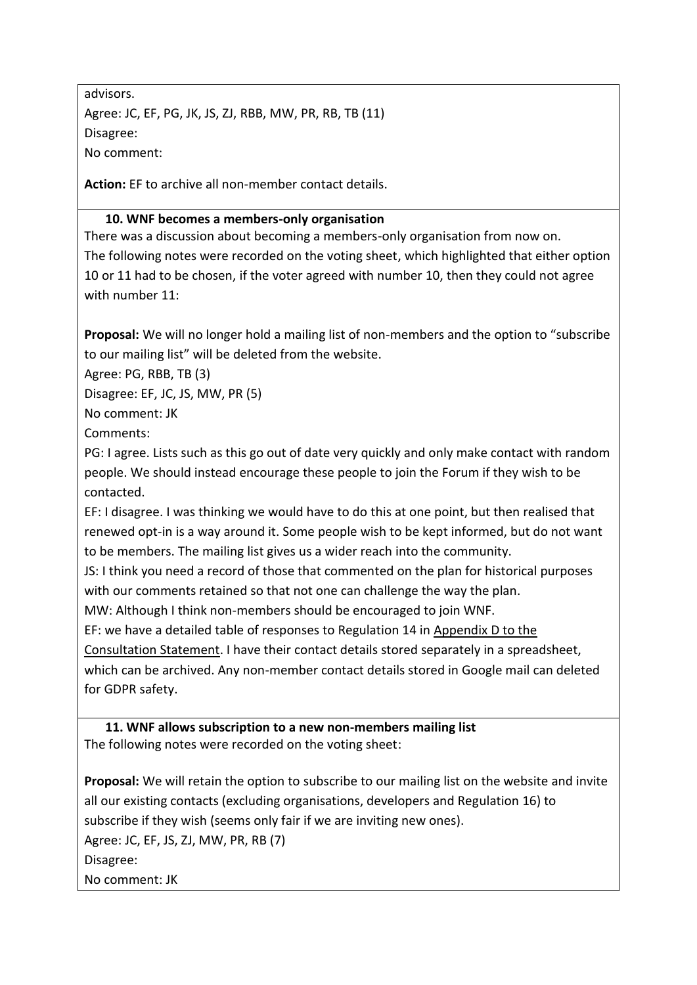advisors. Agree: JC, EF, PG, JK, JS, ZJ, RBB, MW, PR, RB, TB (11) Disagree: No comment:

**Action:** EF to archive all non-member contact details.

### **10. WNF becomes a members-only organisation**

There was a discussion about becoming a members-only organisation from now on. The following notes were recorded on the voting sheet, which highlighted that either option 10 or 11 had to be chosen, if the voter agreed with number 10, then they could not agree with number 11:

**Proposal:** We will no longer hold a mailing list of non-members and the option to "subscribe to our mailing list" will be deleted from the website.

Agree: PG, RBB, TB (3)

Disagree: EF, JC, JS, MW, PR (5)

No comment: JK

Comments:

PG: I agree. Lists such as this go out of date very quickly and only make contact with random people. We should instead encourage these people to join the Forum if they wish to be contacted.

EF: I disagree. I was thinking we would have to do this at one point, but then realised that renewed opt-in is a way around it. Some people wish to be kept informed, but do not want to be members. The mailing list gives us a wider reach into the community.

JS: I think you need a record of those that commented on the plan for historical purposes with our comments retained so that not one can challenge the way the plan.

MW: Although I think non-members should be encouraged to join WNF.

EF: we have a detailed table of responses to Regulation 14 in [Appendix D to the](http://woodfordnf.co.uk/wp-content/uploads/2018/10/Appendix-D-Regulation-14-Consultation-Representations-and-Responses-total-19-Oct-18.pdf) 

[Consultation Statement.](http://woodfordnf.co.uk/wp-content/uploads/2018/10/Appendix-D-Regulation-14-Consultation-Representations-and-Responses-total-19-Oct-18.pdf) I have their contact details stored separately in a spreadsheet,

which can be archived. Any non-member contact details stored in Google mail can deleted for GDPR safety.

**11. WNF allows subscription to a new non-members mailing list** The following notes were recorded on the voting sheet:

**Proposal:** We will retain the option to subscribe to our mailing list on the website and invite all our existing contacts (excluding organisations, developers and Regulation 16) to subscribe if they wish (seems only fair if we are inviting new ones).

Agree: JC, EF, JS, ZJ, MW, PR, RB (7)

Disagree:

No comment: JK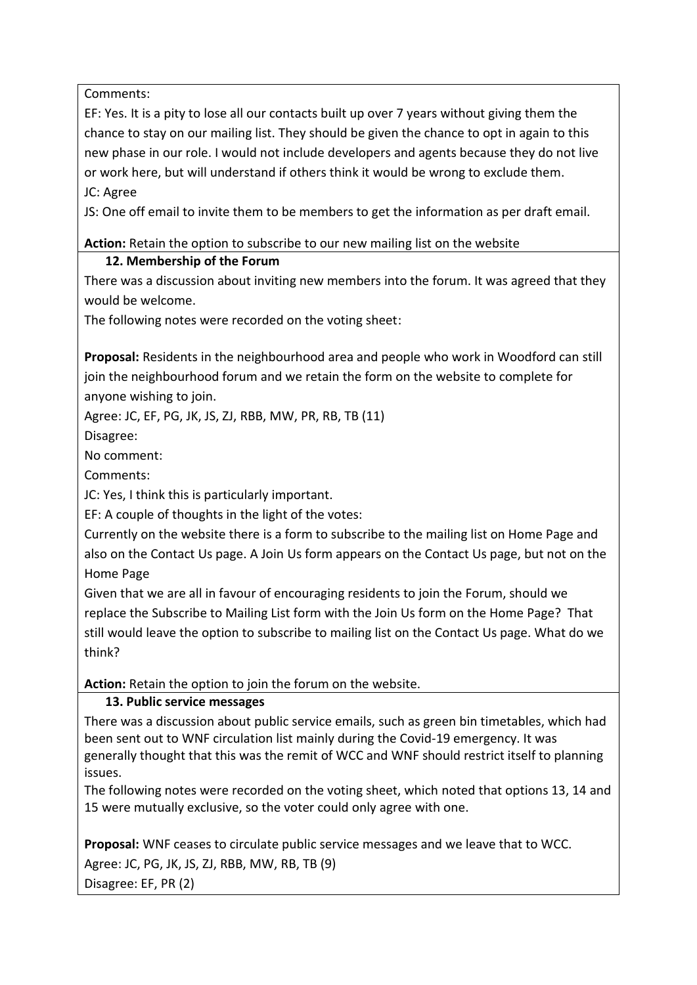Comments:

EF: Yes. It is a pity to lose all our contacts built up over 7 years without giving them the chance to stay on our mailing list. They should be given the chance to opt in again to this new phase in our role. I would not include developers and agents because they do not live or work here, but will understand if others think it would be wrong to exclude them. JC: Agree

JS: One off email to invite them to be members to get the information as per draft email.

**Action:** Retain the option to subscribe to our new mailing list on the website

## **12. Membership of the Forum**

There was a discussion about inviting new members into the forum. It was agreed that they would be welcome.

The following notes were recorded on the voting sheet:

**Proposal:** Residents in the neighbourhood area and people who work in Woodford can still join the neighbourhood forum and we retain the form on the website to complete for anyone wishing to join.

Agree: JC, EF, PG, JK, JS, ZJ, RBB, MW, PR, RB, TB (11)

Disagree:

No comment:

Comments:

JC: Yes, I think this is particularly important.

EF: A couple of thoughts in the light of the votes:

Currently on the website there is a form to subscribe to the mailing list on Home Page and also on the Contact Us page. A Join Us form appears on the Contact Us page, but not on the Home Page

Given that we are all in favour of encouraging residents to join the Forum, should we replace the Subscribe to Mailing List form with the Join Us form on the Home Page? That still would leave the option to subscribe to mailing list on the Contact Us page. What do we think?

**Action:** Retain the option to join the forum on the website.

# **13. Public service messages**

There was a discussion about public service emails, such as green bin timetables, which had been sent out to WNF circulation list mainly during the Covid-19 emergency. It was generally thought that this was the remit of WCC and WNF should restrict itself to planning issues.

The following notes were recorded on the voting sheet, which noted that options 13, 14 and 15 were mutually exclusive, so the voter could only agree with one.

**Proposal:** WNF ceases to circulate public service messages and we leave that to WCC. Agree: JC, PG, JK, JS, ZJ, RBB, MW, RB, TB (9) Disagree: EF, PR (2)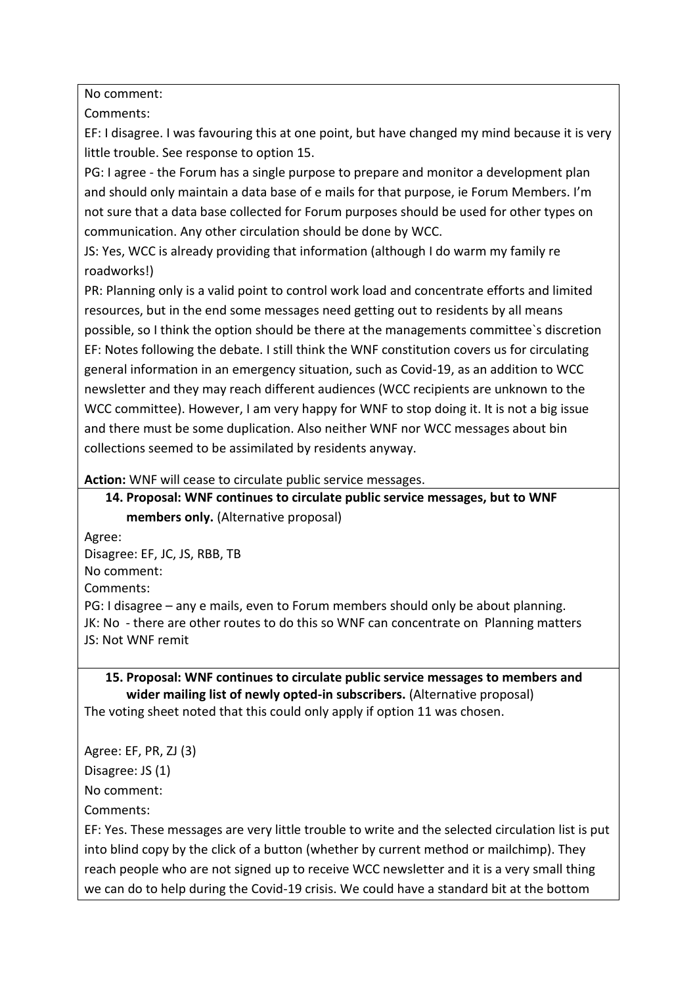No comment:

Comments:

EF: I disagree. I was favouring this at one point, but have changed my mind because it is very little trouble. See response to option 15.

PG: I agree - the Forum has a single purpose to prepare and monitor a development plan and should only maintain a data base of e mails for that purpose, ie Forum Members. I'm not sure that a data base collected for Forum purposes should be used for other types on communication. Any other circulation should be done by WCC.

JS: Yes, WCC is already providing that information (although I do warm my family re roadworks!)

PR: Planning only is a valid point to control work load and concentrate efforts and limited resources, but in the end some messages need getting out to residents by all means possible, so I think the option should be there at the managements committee`s discretion EF: Notes following the debate. I still think the WNF constitution covers us for circulating general information in an emergency situation, such as Covid-19, as an addition to WCC newsletter and they may reach different audiences (WCC recipients are unknown to the WCC committee). However, I am very happy for WNF to stop doing it. It is not a big issue and there must be some duplication. Also neither WNF nor WCC messages about bin collections seemed to be assimilated by residents anyway.

**Action:** WNF will cease to circulate public service messages.

**14. Proposal: WNF continues to circulate public service messages, but to WNF members only.** (Alternative proposal)

Agree:

Disagree: EF, JC, JS, RBB, TB

No comment:

Comments:

PG: I disagree – any e mails, even to Forum members should only be about planning. JK: No - there are other routes to do this so WNF can concentrate on Planning matters JS: Not WNF remit

**15. Proposal: WNF continues to circulate public service messages to members and wider mailing list of newly opted-in subscribers.** (Alternative proposal) The voting sheet noted that this could only apply if option 11 was chosen.

Agree: EF, PR, ZJ (3)

Disagree: JS (1)

No comment:

Comments:

EF: Yes. These messages are very little trouble to write and the selected circulation list is put into blind copy by the click of a button (whether by current method or mailchimp). They reach people who are not signed up to receive WCC newsletter and it is a very small thing we can do to help during the Covid-19 crisis. We could have a standard bit at the bottom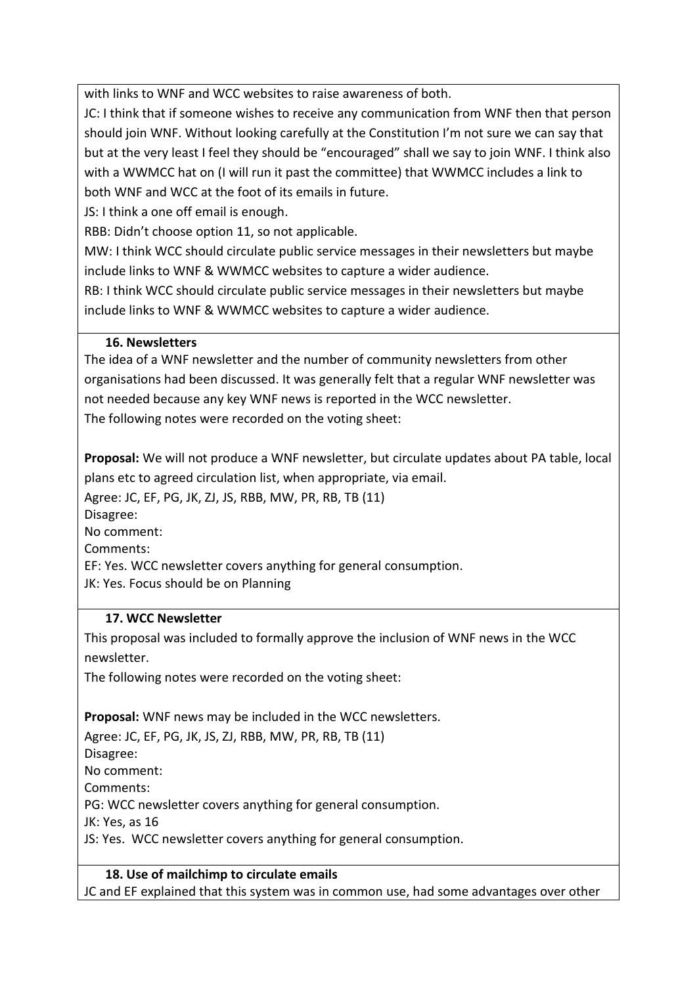with links to WNF and WCC websites to raise awareness of both.

JC: I think that if someone wishes to receive any communication from WNF then that person should join WNF. Without looking carefully at the Constitution I'm not sure we can say that but at the very least I feel they should be "encouraged" shall we say to join WNF. I think also with a WWMCC hat on (I will run it past the committee) that WWMCC includes a link to both WNF and WCC at the foot of its emails in future.

JS: I think a one off email is enough.

RBB: Didn't choose option 11, so not applicable.

MW: I think WCC should circulate public service messages in their newsletters but maybe include links to WNF & WWMCC websites to capture a wider audience.

RB: I think WCC should circulate public service messages in their newsletters but maybe include links to WNF & WWMCC websites to capture a wider audience.

### **16. Newsletters**

The idea of a WNF newsletter and the number of community newsletters from other organisations had been discussed. It was generally felt that a regular WNF newsletter was not needed because any key WNF news is reported in the WCC newsletter. The following notes were recorded on the voting sheet:

**Proposal:** We will not produce a WNF newsletter, but circulate updates about PA table, local plans etc to agreed circulation list, when appropriate, via email.

Agree: JC, EF, PG, JK, ZJ, JS, RBB, MW, PR, RB, TB (11) Disagree: No comment: Comments:

EF: Yes. WCC newsletter covers anything for general consumption.

JK: Yes. Focus should be on Planning

## **17. WCC Newsletter**

This proposal was included to formally approve the inclusion of WNF news in the WCC newsletter.

The following notes were recorded on the voting sheet:

**Proposal:** WNF news may be included in the WCC newsletters.

Agree: JC, EF, PG, JK, JS, ZJ, RBB, MW, PR, RB, TB (11) Disagree: No comment: Comments: PG: WCC newsletter covers anything for general consumption. JK: Yes, as 16 JS: Yes. WCC newsletter covers anything for general consumption.

**18. Use of mailchimp to circulate emails**

JC and EF explained that this system was in common use, had some advantages over other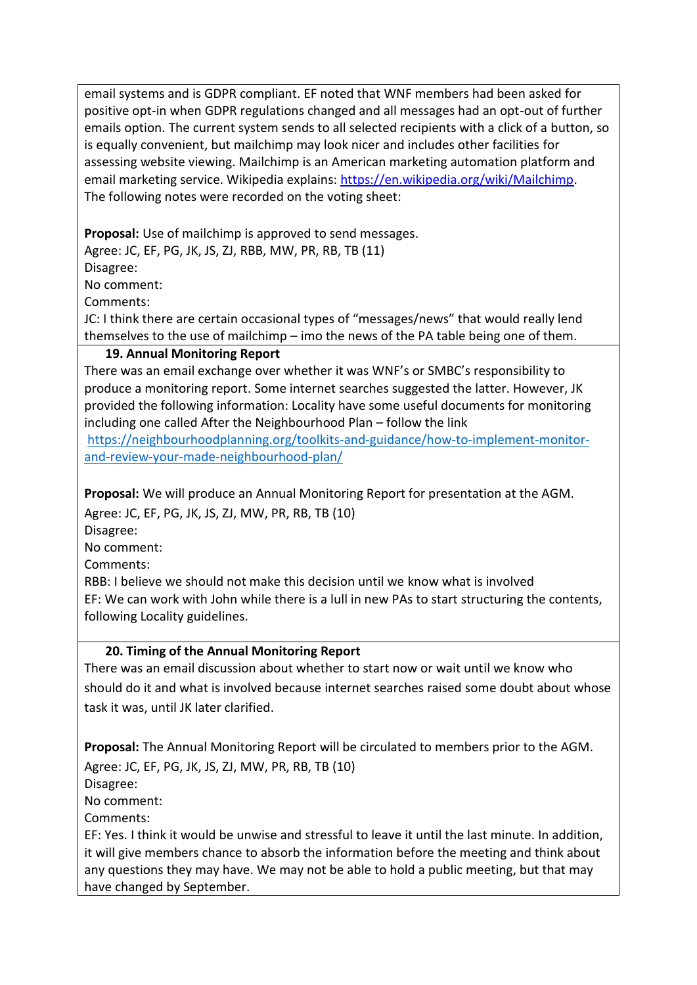email systems and is GDPR compliant. EF noted that WNF members had been asked for positive opt-in when GDPR regulations changed and all messages had an opt-out of further emails option. The current system sends to all selected recipients with a click of a button, so is equally convenient, but mailchimp may look nicer and includes other facilities for assessing website viewing. Mailchimp is an American marketing automation platform and email marketing service. Wikipedia explains: [https://en.wikipedia.org/wiki/Mailchimp.](https://en.wikipedia.org/wiki/Mailchimp) The following notes were recorded on the voting sheet:

**Proposal:** Use of mailchimp is approved to send messages. Agree: JC, EF, PG, JK, JS, ZJ, RBB, MW, PR, RB, TB (11) Disagree: No comment:

Comments:

JC: I think there are certain occasional types of "messages/news" that would really lend themselves to the use of mailchimp – imo the news of the PA table being one of them.

### **19. Annual Monitoring Report**

There was an email exchange over whether it was WNF's or SMBC's responsibility to produce a monitoring report. Some internet searches suggested the latter. However, JK provided the following information: Locality have some useful documents for monitoring including one called After the Neighbourhood Plan – follow the link

[https://neighbourhoodplanning.org/toolkits-and-guidance/how-to-implement-monitor](https://neighbourhoodplanning.org/toolkits-and-guidance/how-to-implement-monitor-and-review-your-made-neighbourhood-plan/)[and-review-your-made-neighbourhood-plan/](https://neighbourhoodplanning.org/toolkits-and-guidance/how-to-implement-monitor-and-review-your-made-neighbourhood-plan/)

**Proposal:** We will produce an Annual Monitoring Report for presentation at the AGM. Agree: JC, EF, PG, JK, JS, ZJ, MW, PR, RB, TB (10)

Disagree:

No comment:

Comments:

RBB: I believe we should not make this decision until we know what is involved EF: We can work with John while there is a lull in new PAs to start structuring the contents, following Locality guidelines.

### **20. Timing of the Annual Monitoring Report**

There was an email discussion about whether to start now or wait until we know who should do it and what is involved because internet searches raised some doubt about whose task it was, until JK later clarified.

**Proposal:** The Annual Monitoring Report will be circulated to members prior to the AGM. Agree: JC, EF, PG, JK, JS, ZJ, MW, PR, RB, TB (10)

Disagree:

No comment:

Comments:

EF: Yes. I think it would be unwise and stressful to leave it until the last minute. In addition, it will give members chance to absorb the information before the meeting and think about any questions they may have. We may not be able to hold a public meeting, but that may have changed by September.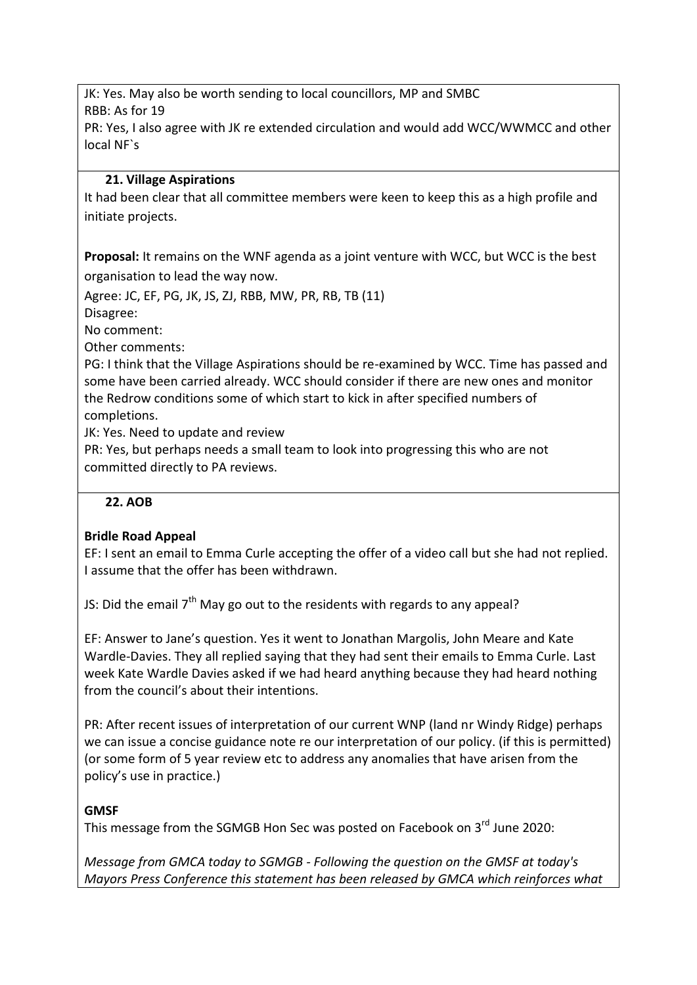JK: Yes. May also be worth sending to local councillors, MP and SMBC RBB: As for 19 PR: Yes, I also agree with JK re extended circulation and would add WCC/WWMCC and other local NF`s

### **21. Village Aspirations**

It had been clear that all committee members were keen to keep this as a high profile and initiate projects.

**Proposal:** It remains on the WNF agenda as a joint venture with WCC, but WCC is the best organisation to lead the way now.

Agree: JC, EF, PG, JK, JS, ZJ, RBB, MW, PR, RB, TB (11)

Disagree:

No comment:

Other comments:

PG: I think that the Village Aspirations should be re-examined by WCC. Time has passed and some have been carried already. WCC should consider if there are new ones and monitor the Redrow conditions some of which start to kick in after specified numbers of completions.

JK: Yes. Need to update and review

PR: Yes, but perhaps needs a small team to look into progressing this who are not committed directly to PA reviews.

#### **22. AOB**

### **Bridle Road Appeal**

EF: I sent an email to Emma Curle accepting the offer of a video call but she had not replied. I assume that the offer has been withdrawn.

JS: Did the email  $7<sup>th</sup>$  May go out to the residents with regards to any appeal?

EF: Answer to Jane's question. Yes it went to Jonathan Margolis, John Meare and Kate Wardle-Davies. They all replied saying that they had sent their emails to Emma Curle. Last week Kate Wardle Davies asked if we had heard anything because they had heard nothing from the council's about their intentions.

PR: After recent issues of interpretation of our current WNP (land nr Windy Ridge) perhaps we can issue a concise guidance note re our interpretation of our policy. (if this is permitted) (or some form of 5 year review etc to address any anomalies that have arisen from the policy's use in practice.)

#### **GMSF**

This message from the SGMGB Hon Sec was posted on Facebook on 3<sup>rd</sup> June 2020:

*Message from GMCA today to SGMGB - Following the question on the GMSF at today's Mayors Press Conference this statement has been released by GMCA which reinforces what*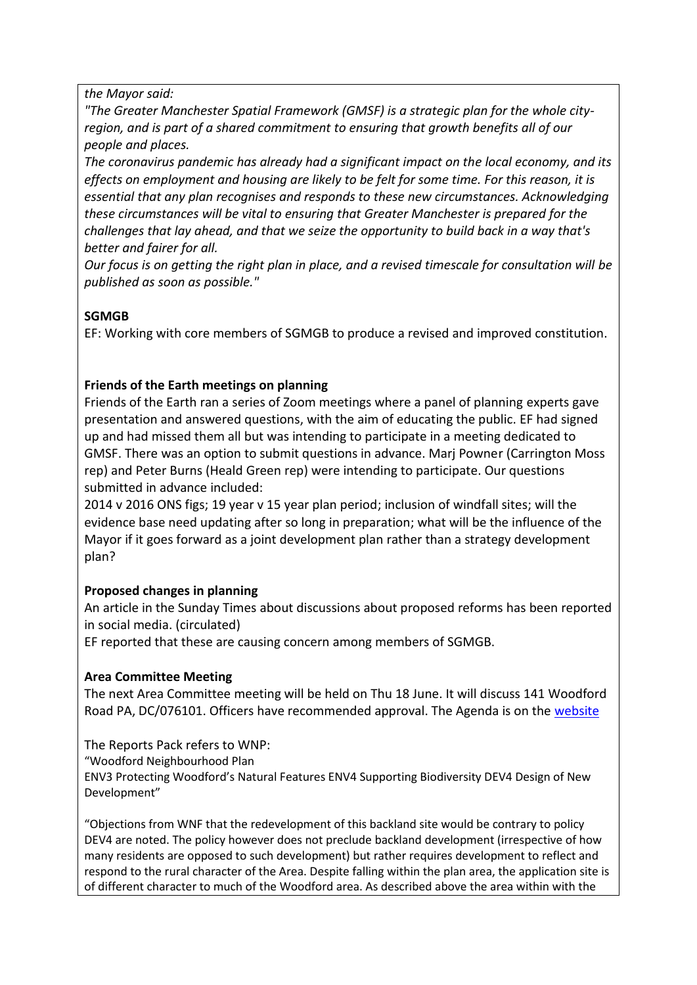#### *the Mayor said:*

*"The Greater Manchester Spatial Framework (GMSF) is a strategic plan for the whole cityregion, and is part of a shared commitment to ensuring that growth benefits all of our people and places.*

*The coronavirus pandemic has already had a significant impact on the local economy, and its effects on employment and housing are likely to be felt for some time. For this reason, it is essential that any plan recognises and responds to these new circumstances. Acknowledging these circumstances will be vital to ensuring that Greater Manchester is prepared for the challenges that lay ahead, and that we seize the opportunity to build back in a way that's better and fairer for all.*

*Our focus is on getting the right plan in place, and a revised timescale for consultation will be published as soon as possible."*

### **SGMGB**

EF: Working with core members of SGMGB to produce a revised and improved constitution.

### **Friends of the Earth meetings on planning**

Friends of the Earth ran a series of Zoom meetings where a panel of planning experts gave presentation and answered questions, with the aim of educating the public. EF had signed up and had missed them all but was intending to participate in a meeting dedicated to GMSF. There was an option to submit questions in advance. Marj Powner (Carrington Moss rep) and Peter Burns (Heald Green rep) were intending to participate. Our questions submitted in advance included:

2014 v 2016 ONS figs; 19 year v 15 year plan period; inclusion of windfall sites; will the evidence base need updating after so long in preparation; what will be the influence of the Mayor if it goes forward as a joint development plan rather than a strategy development plan?

#### **Proposed changes in planning**

An article in the Sunday Times about discussions about proposed reforms has been reported in social media. (circulated)

EF reported that these are causing concern among members of SGMGB.

#### **Area Committee Meeting**

The next Area Committee meeting will be held on Thu 18 June. It will discuss 141 Woodford Road PA, DC/076101. Officers have recommended approval. The Agenda is on the [website](http://democracy.stockport.gov.uk/ieListDocuments.aspx?CId=142&MId=27197&Ver=4)

The Reports Pack refers to WNP: "Woodford Neighbourhood Plan ENV3 Protecting Woodford's Natural Features ENV4 Supporting Biodiversity DEV4 Design of New Development"

"Objections from WNF that the redevelopment of this backland site would be contrary to policy DEV4 are noted. The policy however does not preclude backland development (irrespective of how many residents are opposed to such development) but rather requires development to reflect and respond to the rural character of the Area. Despite falling within the plan area, the application site is of different character to much of the Woodford area. As described above the area within with the